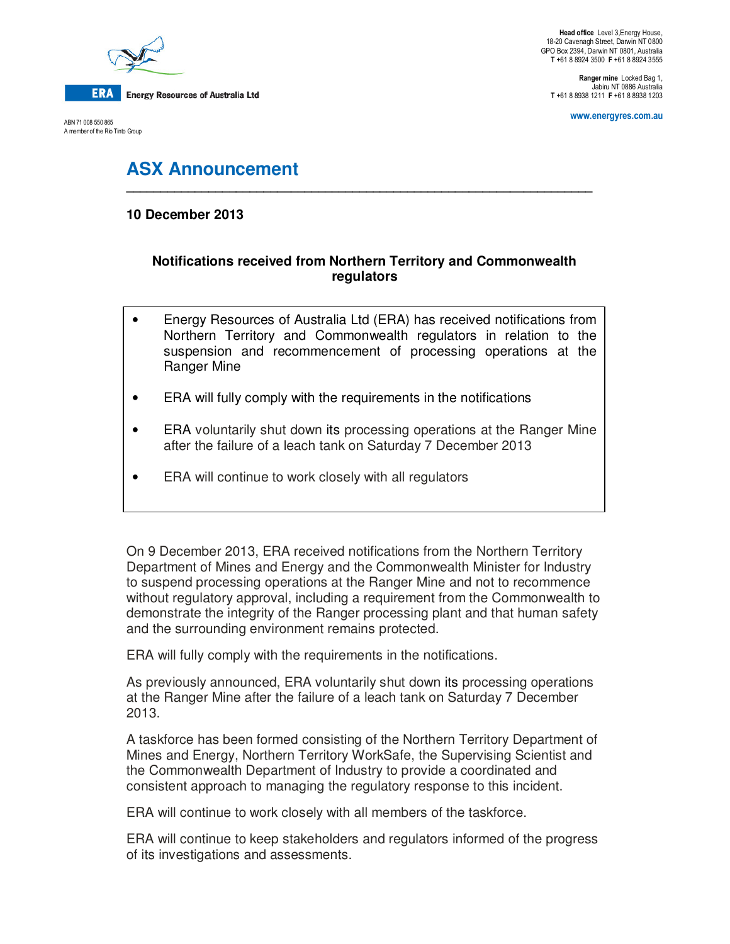

ERA **Energy Resources of Australia Ltd** 

ABN 71 008 550 865 A member of the Rio Tinto Group

**Head office** Level 3,Energy House, 18-20 Cavenagh Street, Darwin NT 0800 GPO Box 2394, Darwin NT 0801, Australia **T** +61 8 8924 3500 **F** +61 8 8924 3555

**Ranger mine** Locked Bag 1, Jabiru NT 0886 Australia **T** +61 8 8938 1211 **F** +61 8 8938 1203

**www.energyres.com.au** 

# **ASX Announcement**

## **10 December 2013**

# **Notifications received from Northern Territory and Commonwealth regulators**

**\_\_\_\_\_\_\_\_\_\_\_\_\_\_\_\_\_\_\_\_\_\_\_\_\_\_\_\_\_\_\_\_\_\_\_\_\_\_\_\_\_\_\_\_\_\_\_\_\_\_\_\_\_\_\_\_\_\_\_\_\_\_\_\_\_\_\_\_** 

- Energy Resources of Australia Ltd (ERA) has received notifications from Northern Territory and Commonwealth regulators in relation to the suspension and recommencement of processing operations at the Ranger Mine
- ERA will fully comply with the requirements in the notifications
- ERA voluntarily shut down its processing operations at the Ranger Mine after the failure of a leach tank on Saturday 7 December 2013
- ERA will continue to work closely with all regulators

On 9 December 2013, ERA received notifications from the Northern Territory Department of Mines and Energy and the Commonwealth Minister for Industry to suspend processing operations at the Ranger Mine and not to recommence without regulatory approval, including a requirement from the Commonwealth to demonstrate the integrity of the Ranger processing plant and that human safety and the surrounding environment remains protected.

ERA will fully comply with the requirements in the notifications.

As previously announced, ERA voluntarily shut down its processing operations at the Ranger Mine after the failure of a leach tank on Saturday 7 December 2013.

A taskforce has been formed consisting of the Northern Territory Department of Mines and Energy, Northern Territory WorkSafe, the Supervising Scientist and the Commonwealth Department of Industry to provide a coordinated and consistent approach to managing the regulatory response to this incident.

ERA will continue to work closely with all members of the taskforce.

ERA will continue to keep stakeholders and regulators informed of the progress of its investigations and assessments.